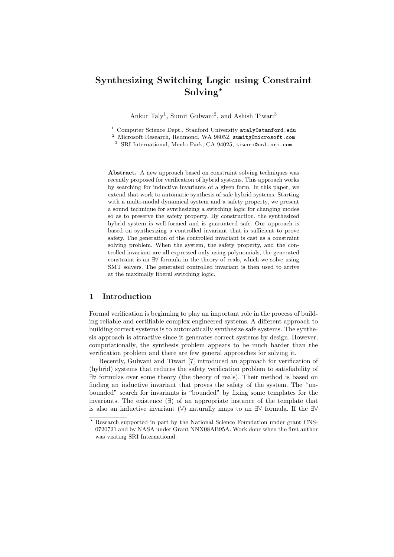# Synthesizing Switching Logic using Constraint Solving?

Ankur Taly<sup>1</sup>, Sumit Gulwani<sup>2</sup>, and Ashish Tiwari<sup>3</sup>

<sup>1</sup> Computer Science Dept., Stanford University ataly@stanford.edu

<sup>2</sup> Microsoft Research, Redmond, WA 98052, sumitg@microsoft.com

<sup>3</sup> SRI International, Menlo Park, CA 94025, tiwari@csl.sri.com

Abstract. A new approach based on constraint solving techniques was recently proposed for verification of hybrid systems. This approach works by searching for inductive invariants of a given form. In this paper, we extend that work to automatic synthesis of safe hybrid systems. Starting with a multi-modal dynamical system and a safety property, we present a sound technique for synthesizing a switching logic for changing modes so as to preserve the safety property. By construction, the synthesized hybrid system is well-formed and is guaranteed safe. Our approach is based on synthesizing a controlled invariant that is sufficient to prove safety. The generation of the controlled invariant is cast as a constraint solving problem. When the system, the safety property, and the controlled invariant are all expressed only using polynomials, the generated constraint is an ∃∀ formula in the theory of reals, which we solve using SMT solvers. The generated controlled invariant is then used to arrive at the maximally liberal switching logic.

## 1 Introduction

Formal verification is beginning to play an important role in the process of building reliable and certifiable complex engineered systems. A different approach to building correct systems is to automatically synthesize safe systems. The synthesis approach is attractive since it generates correct systems by design. However, computationally, the synthesis problem appears to be much harder than the verification problem and there are few general approaches for solving it.

Recently, Gulwani and Tiwari [7] introduced an approach for verification of (hybrid) systems that reduces the safety verification problem to satisfiability of ∃∀ formulas over some theory (the theory of reals). Their method is based on finding an inductive invariant that proves the safety of the system. The "unbounded" search for invariants is "bounded" by fixing some templates for the invariants. The existence (∃) of an appropriate instance of the template that is also an inductive invariant (∀) naturally maps to an ∃∀ formula. If the ∃∀

<sup>?</sup> Research supported in part by the National Science Foundation under grant CNS-0720721 and by NASA under Grant NNX08AB95A. Work done when the first author was visiting SRI International.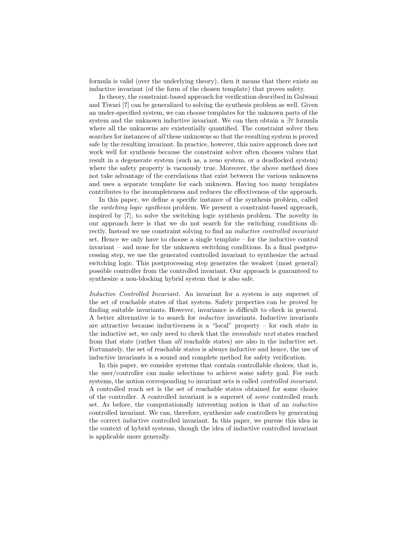formula is valid (over the underlying theory), then it means that there exists an inductive invariant (of the form of the chosen template) that proves safety.

In theory, the constraint-based approach for verification described in Gulwani and Tiwari [7] can be generalized to solving the synthesis problem as well. Given an under-specified system, we can choose templates for the unknown parts of the system and the unknown inductive invariant. We can then obtain a ∃∀ formula where all the unknowns are existentially quantified. The constraint solver then searches for instances of all these unknowns so that the resulting system is proved safe by the resulting invariant. In practice, however, this naive approach does not work well for synthesis because the constraint solver often chooses values that result in a degenerate system (such as, a zeno system, or a deadlocked system) where the safety property is vacuously true. Moreover, the above method does not take advantage of the correlations that exist between the various unknowns and uses a separate template for each unknown. Having too many templates contributes to the incompleteness and reduces the effectiveness of the approach.

In this paper, we define a specific instance of the synthesis problem, called the switching logic synthesis problem. We present a constraint-based approach, inspired by [7], to solve the switching logic synthesis problem. The novelty in our approach here is that we do not search for the switching conditions directly. Instead we use constraint solving to find an inductive controlled invariant set. Hence we only have to choose a single template – for the inductive control invariant – and none for the unknown switching conditions. In a final postprocessing step, we use the generated controlled invariant to synthesize the actual switching logic. This postprocessing step generates the weakest (most general) possible controller from the controlled invariant. Our approach is guaranteed to synthesize a non-blocking hybrid system that is also safe.

Inductive Controlled Invariant. An invariant for a system is any superset of the set of reachable states of that system. Safety properties can be proved by finding suitable invariants. However, invariance is difficult to check in general. A better alternative is to search for inductive invariants. Inductive invariants are attractive because inductiveness is a "local" property – for each state in the inductive set, we only need to check that the immediate next states reached from that state (rather than all reachable states) are also in the inductive set. Fortunately, the set of reachable states is always inductive and hence, the use of inductive invariants is a sound and complete method for safety verification.

In this paper, we consider systems that contain controllable choices, that is, the user/controller can make selections to achieve some safety goal. For such systems, the notion corresponding to invariant sets is called *controlled invariant*. A controlled reach set is the set of reachable states obtained for some choice of the controller. A controlled invariant is a superset of some controlled reach set. As before, the computationally interesting notion is that of an inductive controlled invariant. We can, therefore, synthesize safe controllers by generating the correct inductive controlled invariant. In this paper, we pursue this idea in the context of hybrid systems, though the idea of inductive controlled invariant is applicable more generally.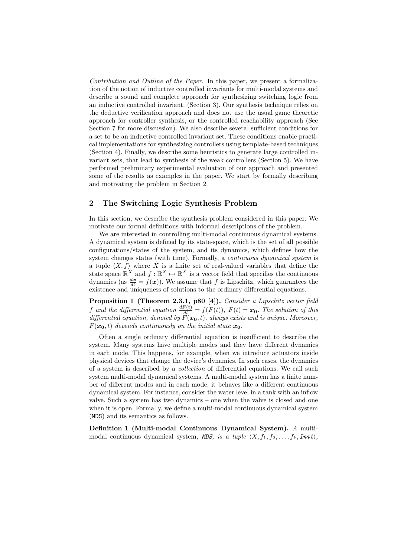Contribution and Outline of the Paper. In this paper, we present a formalization of the notion of inductive controlled invariants for multi-modal systems and describe a sound and complete approach for synthesizing switching logic from an inductive controlled invariant. (Section 3). Our synthesis technique relies on the deductive verification approach and does not use the usual game theoretic approach for controller synthesis, or the controlled reachability approach (See Section 7 for more discussion). We also describe several sufficient conditions for a set to be an inductive controlled invariant set. These conditions enable practical implementations for synthesizing controllers using template-based techniques (Section 4). Finally, we describe some heuristics to generate large controlled invariant sets, that lead to synthesis of the weak controllers (Section 5). We have performed preliminary experimental evaluation of our approach and presented some of the results as examples in the paper. We start by formally describing and motivating the problem in Section 2.

# 2 The Switching Logic Synthesis Problem

In this section, we describe the synthesis problem considered in this paper. We motivate our formal definitions with informal descriptions of the problem.

We are interested in controlling multi-modal continuous dynamical systems. A dynamical system is defined by its state-space, which is the set of all possible configurations/states of the system, and its dynamics, which defines how the system changes states (with time). Formally, a *continuous dynamical system* is a tuple  $\langle X, f \rangle$  where X is a finite set of real-valued variables that define the state space  $\mathbb{R}^X$  and  $f : \mathbb{R}^X \to \mathbb{R}^X$  is a vector field that specifies the continuous dynamics (as  $\frac{dx}{dt} = f(x)$ ). We assume that f is Lipschitz, which guarantees the existence and uniqueness of solutions to the ordinary differential equations.

Proposition 1 (Theorem 2.3.1, p80 [4]). Consider a Lipschitz vector field f and the differential equation  $\frac{dF(t)}{dt} = f(F(t)), F(t) = x_0$ . The solution of this differential equation, denoted by  $F(\mathbf{x_0}, t)$ , always exists and is unique. Moreover,  $F(\mathbf{x_0}, t)$  depends continuously on the initial state  $\mathbf{x_0}$ .

Often a single ordinary differential equation is insufficient to describe the system. Many systems have multiple modes and they have different dynamics in each mode. This happens, for example, when we introduce actuators inside physical devices that change the device's dynamics. In such cases, the dynamics of a system is described by a collection of differential equations. We call such system multi-modal dynamical systems. A multi-modal system has a finite number of different modes and in each mode, it behaves like a different continuous dynamical system. For instance, consider the water level in a tank with an inflow valve. Such a system has two dynamics – one when the valve is closed and one when it is open. Formally, we define a multi-modal continuous dynamical system (MDS) and its semantics as follows.

Definition 1 (Multi-modal Continuous Dynamical System). A multimodal continuous dynamical system, MDS, is a tuple  $\langle X, f_1, f_2, \ldots, f_k, \text{Init}\rangle$ ,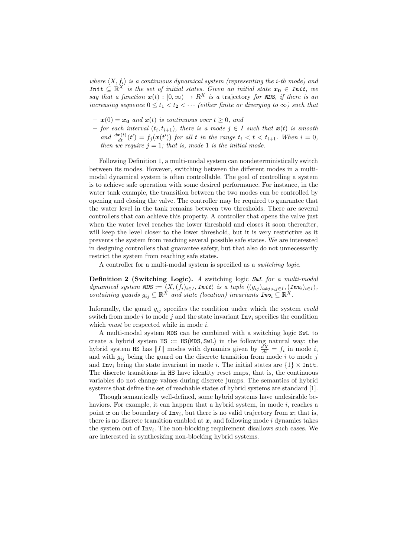where  $\langle X, f_i \rangle$  is a continuous dynamical system (representing the i-th mode) and Init  $\subseteq \mathbb{R}^X$  is the set of initial states. Given an initial state  $x_0 \in Init$ , we say that a function  $\mathbf{x}(t): [0,\infty) \to \mathbb{R}^X$  is a trajectory for MDS, if there is an increasing sequence  $0 \le t_1 < t_2 < \cdots$  (either finite or diverging to  $\infty$ ) such that

- $-\mathbf{x}(0) = \mathbf{x}_0$  and  $\mathbf{x}(t)$  is continuous over  $t > 0$ , and
- $-$  for each interval  $(t_i, t_{i+1})$ , there is a mode  $j \in I$  such that  $\mathbf{x}(t)$  is smooth and  $\frac{d\boldsymbol{x}(t)}{dt}(t') = f_j(\boldsymbol{x}(t'))$  for all t in the range  $t_i < t < t_{i+1}$ . When  $i = 0$ , then we require  $j = 1$ ; that is, mode 1 is the initial mode.

Following Definition 1, a multi-modal system can nondeterministically switch between its modes. However, switching between the different modes in a multimodal dynamical system is often controllable. The goal of controlling a system is to achieve safe operation with some desired performance. For instance, in the water tank example, the transition between the two modes can be controlled by opening and closing the valve. The controller may be required to guarantee that the water level in the tank remains between two thresholds. There are several controllers that can achieve this property. A controller that opens the valve just when the water level reaches the lower threshold and closes it soon thereafter, will keep the level closer to the lower threshold, but it is very restrictive as it prevents the system from reaching several possible safe states. We are interested in designing controllers that guarantee safety, but that also do not unnecessarily restrict the system from reaching safe states.

A controller for a multi-modal system is specified as a switching logic.

Definition 2 (Switching Logic). A switching logic SwL for a multi-modal dynamical system  $MDS := \langle X, (f_i)_{i \in I} , Init \rangle$  is a tuple  $\langle (g_{ij})_{i \neq j; i,j \in I} ,(Inv_i)_{i \in I} \rangle$ containing guards  $g_{ij} \subseteq \mathbb{R}^X$  and state (location) invariants  $\text{Inv}_i \subseteq \mathbb{R}^X$ .

Informally, the guard  $g_{ij}$  specifies the condition under which the system could switch from mode i to mode j and the state invariant  $\text{Inv}_i$  specifies the condition which *must* be respected while in mode *i*.

A multi-modal system MDS can be combined with a switching logic SwL to create a hybrid system  $HS := HS(MDS, SwL)$  in the following natural way: the hybrid system HS has  $||I||$  modes with dynamics given by  $\frac{dX}{dt} = f_i$  in mode i, and with  $g_{ij}$  being the guard on the discrete transition from mode i to mode j and Inv<sub>i</sub> being the state invariant in mode *i*. The initial states are  $\{1\} \times$  Init. The discrete transitions in HS have identity reset maps, that is, the continuous variables do not change values during discrete jumps. The semantics of hybrid systems that define the set of reachable states of hybrid systems are standard [1].

Though semantically well-defined, some hybrid systems have undesirable behaviors. For example, it can happen that a hybrid system, in mode  $i$ , reaches a point x on the boundary of  $Inv_i$ , but there is no valid trajectory from x; that is, there is no discrete transition enabled at  $x$ , and following mode i dynamics takes the system out of  $Inv_i$ . The non-blocking requirement disallows such cases. We are interested in synthesizing non-blocking hybrid systems.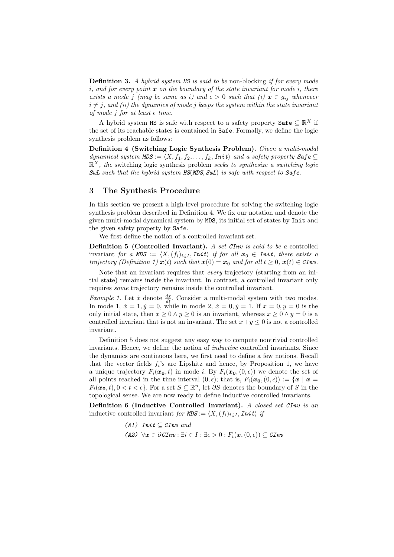**Definition 3.** A hybrid system HS is said to be non-blocking if for every mode i, and for every point  $x$  on the boundary of the state invariant for mode i, there exists a mode j (may be same as i) and  $\epsilon > 0$  such that (i)  $x \in g_{ij}$  whenever  $i \neq j$ , and (ii) the dynamics of mode j keeps the system within the state invariant of mode *i* for at least  $\epsilon$  time.

A hybrid system  $\texttt{HS}$  is safe with respect to a safety property  $\texttt{Safe} \subseteq \mathbb{R}^X$  if the set of its reachable states is contained in Safe. Formally, we define the logic synthesis problem as follows:

Definition 4 (Switching Logic Synthesis Problem). Given a multi-modal dynamical system  $MDS := \langle X, f_1, f_2, \ldots, f_k, Init \rangle$  and a safety property Safe ⊆  $\mathbb{R}^X$ , the switching logic synthesis problem seeks to synthesize a switching logic SwL such that the hybrid system HS(MDS, SwL) is safe with respect to Safe.

## 3 The Synthesis Procedure

In this section we present a high-level procedure for solving the switching logic synthesis problem described in Definition 4. We fix our notation and denote the given multi-modal dynamical system by MDS, its initial set of states by Init and the given safety property by Safe.

We first define the notion of a controlled invariant set.

Definition 5 (Controlled Invariant). A set CInv is said to be a controlled invariant for a MDS :=  $\langle X,(f_i)_{i\in I}$ , Init $\rangle$  if for all  $x_0 \in$  Init, there exists a trajectory (Definition 1)  $x(t)$  such that  $x(0) = x_0$  and for all  $t \geq 0$ ,  $x(t) \in \mathbb{C}$  Inv.

Note that an invariant requires that *every* trajectory (starting from an initial state) remains inside the invariant. In contrast, a controlled invariant only requires some trajectory remains inside the controlled invariant.

*Example 1.* Let  $\dot{x}$  denote  $\frac{dx}{dt}$ . Consider a multi-modal system with two modes. In mode 1,  $\dot{x} = 1, \dot{y} = 0$ , while in mode 2,  $\dot{x} = 0, \dot{y} = 1$ . If  $x = 0, y = 0$  is the only initial state, then  $x \geq 0 \land y \geq 0$  is an invariant, whereas  $x \geq 0 \land y = 0$  is a controlled invariant that is not an invariant. The set  $x+y \leq 0$  is not a controlled invariant.

Definition 5 does not suggest any easy way to compute nontrivial controlled invariants. Hence, we define the notion of inductive controlled invariants. Since the dynamics are continuous here, we first need to define a few notions. Recall that the vector fields  $f_i$ 's are Lipshitz and hence, by Proposition 1, we have a unique trajectory  $F_i(\mathbf{x_0}, t)$  in mode i. By  $F_i(\mathbf{x_0},(0, \epsilon))$  we denote the set of all points reached in the time interval  $(0, \epsilon)$ ; that is,  $F_i(\mathbf{x_0}, (0, \epsilon)) := \{ \mathbf{x} \mid \mathbf{x} =$  $F_i(\mathbf{x_0}, t), 0 < t < \epsilon$ . For a set  $S \subseteq \mathbb{R}^n$ , let  $\partial S$  denotes the boundary of S in the topological sense. We are now ready to define inductive controlled invariants.

Definition 6 (Inductive Controlled Invariant). A closed set CInv is an inductive controlled invariant for  $MDS := \langle X,(f_i)_{i\in I}, Init \rangle$  if

> (A1) Init  $\subset$  CInv and (A2)  $\forall x \in \partial C \mathit{Inv} : \exists i \in I : \exists \epsilon > 0 : F_i(x, (0, \epsilon)) \subseteq \mathit{CInv}$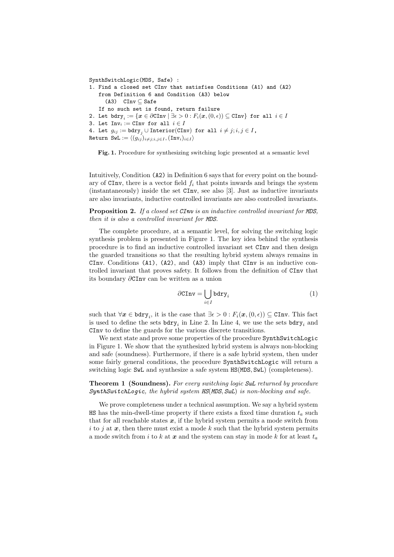```
SynthSwitchLogic(MDS, Safe) :
1. Find a closed set CInv that satisfies Conditions (A1) and (A2)
    from Definition 6 and Condition (A3) below
        (A3) CInv\subseteq Safe
    If no such set is found, return failure
2. Let \texttt{bdry}_i := \{ \pmb{x} \in \partial \texttt{CInv} \mid \exists \epsilon > 0 : F_i(\pmb{x},(0,\epsilon)) \subseteq \texttt{CInv} \} for all i \in I3. Let Inv_i := CInv for all i \in I4. Let g_{ij} := \text{bdry}_j \cup \text{Interior}(\text{CInv}) for all i \neq j; i, j \in I,
Return SwL := \langle (g_{ij})_{i\neq j;i,j\in I}, (\text{Inv}_i)_{i\in I} \rangle
```


Intuitively, Condition (A2) in Definition 6 says that for every point on the boundary of CInv, there is a vector field  $f_i$  that points inwards and brings the system (instantaneously) inside the set CInv, see also [3]. Just as inductive invariants are also invariants, inductive controlled invariants are also controlled invariants.

**Proposition 2.** If a closed set  $CInv$  is an inductive controlled invariant for MDS, then it is also a controlled invariant for MDS.

The complete procedure, at a semantic level, for solving the switching logic synthesis problem is presented in Figure 1. The key idea behind the synthesis procedure is to find an inductive controlled invariant set CInv and then design the guarded transitions so that the resulting hybrid system always remains in CInv. Conditions  $(A1)$ ,  $(A2)$ , and  $(A3)$  imply that CInv is an inductive controlled invariant that proves safety. It follows from the definition of CInv that its boundary ∂CInv can be written as a union

$$
\partial \text{CInv} = \bigcup_{i \in I} \text{bdry}_i \tag{1}
$$

such that  $\forall x \in bdry_i$ , it is the case that  $\exists \epsilon > 0 : F_i(x, (0, \epsilon)) \subseteq C$ Inv. This fact is used to define the sets  $\text{bdry}_i$  in Line 2. In Line 4, we use the sets  $\text{bdry}_i$  and CInv to define the guards for the various discrete transitions.

We next state and prove some properties of the procedure SynthSwitchLogic in Figure 1. We show that the synthesized hybrid system is always non-blocking and safe (soundness). Furthermore, if there is a safe hybrid system, then under some fairly general conditions, the procedure SynthSwitchLogic will return a switching logic SwL and synthesize a safe system HS(MDS, SwL) (completeness).

**Theorem 1 (Soundness).** For every switching logic SwL returned by procedure  $Synth Swift$ chlogic, the hybrid system  $HS(MDS, S\omega L)$  is non-blocking and safe.

We prove completeness under a technical assumption. We say a hybrid system HS has the min-dwell-time property if there exists a fixed time duration  $t_a$  such that for all reachable states  $x$ , if the hybrid system permits a mode switch from i to j at  $x$ , then there must exist a mode k such that the hybrid system permits a mode switch from i to k at x and the system can stay in mode k for at least  $t_a$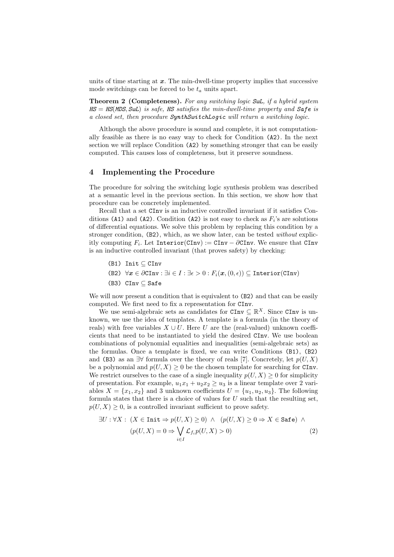units of time starting at  $x$ . The min-dwell-time property implies that successive mode switchings can be forced to be  $t_a$  units apart.

Theorem 2 (Completeness). For any switching logic SwL, if a hybrid system  $HS = HS(MDS, S\omega L)$  is safe, HS satisfies the min-dwell-time property and Safe is a closed set, then procedure SynthSwitchLogic will return a switching logic.

Although the above procedure is sound and complete, it is not computationally feasible as there is no easy way to check for Condition (A2). In the next section we will replace Condition (A2) by something stronger that can be easily computed. This causes loss of completeness, but it preserve soundness.

## 4 Implementing the Procedure

The procedure for solving the switching logic synthesis problem was described at a semantic level in the previous section. In this section, we show how that procedure can be concretely implemented.

Recall that a set CInv is an inductive controlled invariant if it satisfies Conditions (A1) and (A2). Condition (A2) is not easy to check as  $F_i$ 's are solutions of differential equations. We solve this problem by replacing this condition by a stronger condition, (B2), which, as we show later, can be tested without explicitly computing  $F_i$ . Let  ${\tt Interior}({\tt CInv}) := {\tt CInv} - \partial {\tt CInv}$ . We ensure that  ${\tt CInv}$ is an inductive controlled invariant (that proves safety) by checking:

- (B1) Init ⊆ CInv
- (B2)  $\forall x \in \partial C \text{Inv}: \exists i \in I : \exists \epsilon > 0 : F_i(x, (0, \epsilon)) \subseteq \text{Interior}(C \text{Inv})$
- (B3) CInv ⊆ Safe

We will now present a condition that is equivalent to (B2) and that can be easily computed. We first need to fix a representation for CInv.

We use semi-algebraic sets as candidates for CInv  $\subseteq \mathbb{R}^X$ . Since CInv is unknown, we use the idea of templates. A template is a formula (in the theory of reals) with free variables  $X \cup U$ . Here U are the (real-valued) unknown coefficients that need to be instantiated to yield the desired CInv. We use boolean combinations of polynomial equalities and inequalities (semi-algebraic sets) as the formulas. Once a template is fixed, we can write Conditions (B1), (B2) and (B3) as an  $\exists\forall$  formula over the theory of reals [7]. Concretely, let  $p(U, X)$ be a polynomial and  $p(U, X) \geq 0$  be the chosen template for searching for CInv. We restrict ourselves to the case of a single inequality  $p(U, X) \geq 0$  for simplicity of presentation. For example,  $u_1x_1 + u_2x_2 \ge u_3$  is a linear template over 2 variables  $X = \{x_1, x_2\}$  and 3 unknown coefficients  $U = \{u_1, u_2, u_3\}$ . The following formula states that there is a choice of values for  $U$  such that the resulting set,  $p(U, X) \geq 0$ , is a controlled invariant sufficient to prove safety.

$$
\exists U : \forall X : (X \in \text{Init} \Rightarrow p(U, X) \ge 0) \land (p(U, X) \ge 0 \Rightarrow X \in \text{Safe}) \land (p(U, X) = 0 \Rightarrow \bigvee_{i \in I} \mathcal{L}_{f_i} p(U, X) > 0)
$$
\n
$$
(2)
$$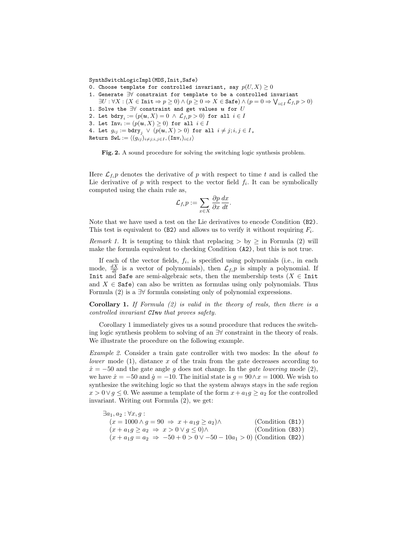SynthSwitchLogicImpl(MDS,Init,Safe)

- 0. Choose template for controlled invariant, say  $p(U, X) \geq 0$
- 1. Generate ∃∀ constraint for template to be a controlled invariant
- $\exists U: \forall X: (X\in \texttt{Init} \Rightarrow p\geq 0) \wedge (p\geq 0 \Rightarrow X\in \texttt{Safe}) \wedge (p=0 \Rightarrow \bigvee_{i\in I} \mathcal{L}_{f_i} p>0)$
- 1. Solve the  $\exists\forall$  constraint and get values  $u$  for  $U$
- 2. Let  $\texttt{bdry}_i := (p(\boldsymbol u, X) = 0 \ \land \ \mathcal{L}_{f_i} p > 0)$  for all  $i \in I$
- 3. Let  $\text{Inv}_i := (p(\boldsymbol{u},X) \geq 0)$  for all  $i \in I$
- 4. Let  $g_{ij} := \text{bdry}_j \vee (p(u, X) > 0)$  for all  $i \neq j; i, j \in I$ ,
- Return SwL :=  $\langle (g_{ij} )_{i \neq j; i,j \in I}, (\texttt{Inv}_i)_{i \in I} \rangle$

Fig. 2. A sound procedure for solving the switching logic synthesis problem.

Here  $\mathcal{L}_{f_i} p$  denotes the derivative of p with respect to time t and is called the Lie derivative of  $p$  with respect to the vector field  $f_i$ . It can be symbolically computed using the chain rule as,

$$
\mathcal{L}_{f_i} p := \sum_{x \in X} \frac{\partial p}{\partial x} \frac{dx}{dt}.
$$

Note that we have used a test on the Lie derivatives to encode Condition (B2). This test is equivalent to (B2) and allows us to verify it without requiring  $F_i$ .

*Remark 1.* It is tempting to think that replacing  $>$  by  $>$  in Formula (2) will make the formula equivalent to checking Condition (A2), but this is not true.

If each of the vector fields,  $f_i$ , is specified using polynomials (i.e., in each mode,  $\frac{dX}{dt}$  is a vector of polynomials), then  $\mathcal{L}_{f_i} p$  is simply a polynomial. If Init and Safe are semi-algebraic sets, then the membership tests ( $X \in$  Init and  $X \in \text{Safe}$  can also be written as formulas using only polynomials. Thus Formula (2) is a ∃∀ formula consisting only of polynomial expressions.

**Corollary 1.** If Formula  $(2)$  is valid in the theory of reals, then there is a controlled invariant CInv that proves safety.

Corollary 1 immediately gives us a sound procedure that reduces the switching logic synthesis problem to solving of an ∃∀ constraint in the theory of reals. We illustrate the procedure on the following example.

Example 2. Consider a train gate controller with two modes: In the about to lower mode  $(1)$ , distance x of the train from the gate decreases according to  $\dot{x} = -50$  and the gate angle g does not change. In the gate lowering mode (2), we have  $\dot{x} = -50$  and  $\dot{g} = -10$ . The initial state is  $g = 90 \land x = 1000$ . We wish to synthesize the switching logic so that the system always stays in the safe region  $x > 0 \vee g \leq 0$ . We assume a template of the form  $x + a_1 g \geq a_2$  for the controlled invariant. Writing out Formula (2), we get:

| $\exists a_1, a_2 : \forall x, g:$                                           |                  |  |
|------------------------------------------------------------------------------|------------------|--|
| $(x = 1000 \wedge g = 90 \Rightarrow x + a_1 g \ge a_2) \wedge$              | (Condition (B1)) |  |
| $(x + a_1 g \ge a_2 \Rightarrow x > 0 \lor g \le 0) \land$                   | (Condition (B3)) |  |
| $(x + a_1g = a_2 \implies -50 + 0 > 0 \lor -50 - 10a_1 > 0$ (Condition (B2)) |                  |  |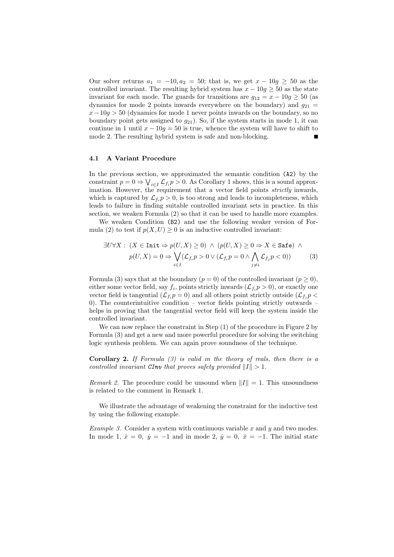Our solver returns  $a_1 = -10, a_2 = 50$ ; that is, we get  $x - 10g \ge 50$  as the controlled invariant. The resulting hybrid system has  $x - 10g \ge 50$  as the state invariant for each mode. The guards for transitions are  $g_{12} = x - 10g \ge 50$  (as dynamics for mode 2 points inwards everywhere on the boundary) and  $g_{21}$  =  $x-10q > 50$  (dynamics for mode 1 never points inwards on the boundary, so no boundary point gets assigned to  $g_{21}$ ). So, if the system starts in mode 1, it can continue in 1 until  $x - 10g = 50$  is true, whence the system will have to shift to mode 2. The resulting hybrid system is safe and non-blocking.

## 4.1 A Variant Procedure

In the previous section, we approximated the semantic condition (A2) by the constraint  $p = 0 \Rightarrow \bigvee_{i \in I} \mathcal{L}_{f_i} p > 0$ . As Corollary 1 shows, this is a sound approximation. However, the requirement that a vector field points *strictly* inwards, which is captured by  $\mathcal{L}_{f_i} p > 0$ , is too strong and leads to incompleteness, which leads to failure in finding suitable controlled invariant sets in practice. In this section, we weaken Formula (2) so that it can be used to handle more examples.

We weaken Condition (B2) and use the following weaker version of Formula (2) to test if  $p(X, U) \geq 0$  is an inductive controlled invariant:

$$
\exists U \forall X: (X \in \text{Init} \Rightarrow p(U, X) \ge 0) \land (p(U, X) \ge 0 \Rightarrow X \in \text{Safe}) \land
$$

$$
p(U, X) = 0 \Rightarrow \bigvee_{i \in I} (\mathcal{L}_{f_i} p > 0 \lor (\mathcal{L}_{f_i} p = 0 \land \bigwedge_{j \ne i} \mathcal{L}_{f_j} p < 0))
$$

$$
\tag{3}
$$

Formula (3) says that at the boundary  $(p = 0)$  of the controlled invariant  $(p \ge 0)$ , either some vector field, say  $f_i$ , points strictly inwards  $(\mathcal{L}_{f_i} p > 0)$ , or exactly one vector field is tangential ( $\mathcal{L}_{f,p} = 0$ ) and all others point strictly outside ( $\mathcal{L}_{f,p}$  < 0). The counterintuitive condition – vector fields pointing strictly outwards – helps in proving that the tangential vector field will keep the system inside the controlled invariant.

We can now replace the constraint in Step (1) of the procedure in Figure 2 by Formula (3) and get a new and more powerful procedure for solving the switching logic synthesis problem. We can again prove soundness of the technique.

**Corollary 2.** If Formula  $(3)$  is valid in the theory of reals, then there is a controlled invariant CInv that proves safety provided  $||I|| > 1$ .

Remark 2. The procedure could be unsound when  $||I|| = 1$ . This unsoundness is related to the comment in Remark 1.

We illustrate the advantage of weakening the constraint for the inductive test by using the following example.

Example 3. Consider a system with continuous variable x and y and two modes. In mode 1,  $\dot{x} = 0$ ,  $\dot{y} = -1$  and in mode 2,  $\dot{y} = 0$ ,  $\dot{x} = -1$ . The initial state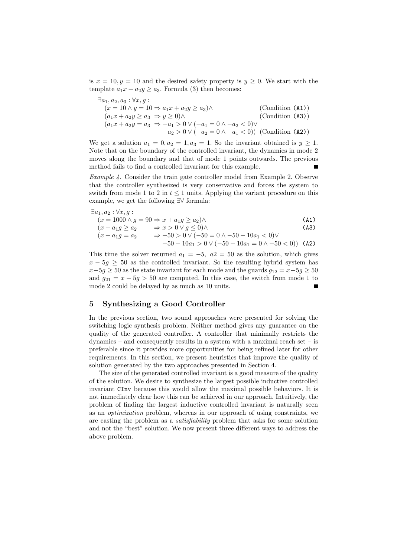is  $x = 10, y = 10$  and the desired safety property is  $y \ge 0$ . We start with the template  $a_1x + a_2y \ge a_3$ . Formula (3) then becomes:

$$
\exists a_1, a_2, a_3 : \forall x, g : (x = 10 \land y = 10 \Rightarrow a_1 x + a_2 y \ge a_3) \land \text{(Condition (A1))}
$$
\n
$$
(a_1 x + a_2 y \ge a_3 \Rightarrow y \ge 0) \land \text{(Condition (A3))}
$$
\n
$$
(a_1 x + a_2 y = a_3 \Rightarrow -a_1 > 0 \lor (-a_1 = 0 \land -a_2 < 0) \lor \text{(Condition (A2))}
$$
\n
$$
-a_2 > 0 \lor (-a_2 = 0 \land -a_1 < 0) \text{ (Condition (A2))}
$$

We get a solution  $a_1 = 0, a_2 = 1, a_3 = 1$ . So the invariant obtained is  $y \ge 1$ . Note that on the boundary of the controlled invariant, the dynamics in mode 2 moves along the boundary and that of mode 1 points outwards. The previous method fails to find a controlled invariant for this example.

Example 4. Consider the train gate controller model from Example 2. Observe that the controller synthesized is very conservative and forces the system to switch from mode 1 to 2 in  $t \leq 1$  units. Applying the variant procedure on this example, we get the following ∃∀ formula:

$$
\exists a_1, a_2 : \forall x, g :(x = 1000 \land g = 90 \Rightarrow x + a_1 g \ge a_2) \land(x + a_1 g \ge a_2 \Rightarrow x > 0 \lor g \le 0) \land(x + a_1 g = a_2 \Rightarrow -50 > 0 \lor (-50 = 0 \land -50 - 10a_1 < 0) \lor-50 - 10a_1 > 0 \lor (-50 - 10a_1 = 0 \land -50 < 0))
$$
 (A2)

This time the solver returned  $a_1 = -5$ ,  $a_2 = 50$  as the solution, which gives  $x - 5g \geq 50$  as the controlled invariant. So the resulting hybrid system has  $x-5g \ge 50$  as the state invariant for each mode and the guards  $g_{12} = x-5g \ge 50$ and  $g_{21} = x - 5g > 50$  are computed. In this case, the switch from mode 1 to mode 2 could be delayed by as much as 10 units.

# 5 Synthesizing a Good Controller

In the previous section, two sound approaches were presented for solving the switching logic synthesis problem. Neither method gives any guarantee on the quality of the generated controller. A controller that minimally restricts the  $d$ ynamics – and consequently results in a system with a maximal reach set – is preferable since it provides more opportunities for being refined later for other requirements. In this section, we present heuristics that improve the quality of solution generated by the two approaches presented in Section 4.

The size of the generated controlled invariant is a good measure of the quality of the solution. We desire to synthesize the largest possible inductive controlled invariant CInv because this would allow the maximal possible behaviors. It is not immediately clear how this can be achieved in our approach. Intuitively, the problem of finding the largest inductive controlled invariant is naturally seen as an optimization problem, whereas in our approach of using constraints, we are casting the problem as a satisfiability problem that asks for some solution and not the "best" solution. We now present three different ways to address the above problem.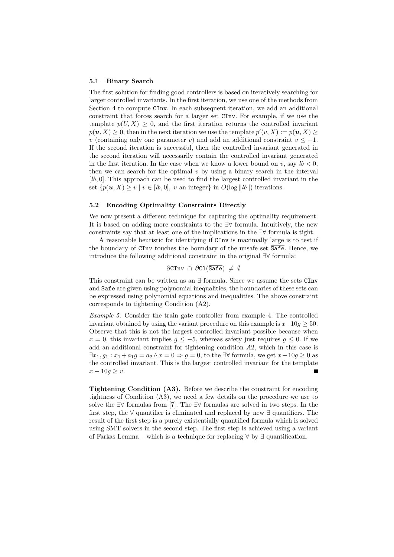#### 5.1 Binary Search

The first solution for finding good controllers is based on iteratively searching for larger controlled invariants. In the first iteration, we use one of the methods from Section 4 to compute CInv. In each subsequent iteration, we add an additional constraint that forces search for a larger set CInv. For example, if we use the template  $p(U, X) \geq 0$ , and the first iteration returns the controlled invariant  $p(\mathbf{u}, X) \geq 0$ , then in the next iteration we use the template  $p'(v, X) := p(\mathbf{u}, X) \geq 0$ v (containing only one parameter v) and add an additional constraint  $v \leq -1$ . If the second iteration is successful, then the controlled invariant generated in the second iteration will necessarily contain the controlled invariant generated in the first iteration. In the case when we know a lower bound on v, say  $lb < 0$ , then we can search for the optimal  $v$  by using a binary search in the interval  $[lb, 0]$ . This approach can be used to find the largest controlled invariant in the set  $\{p(\boldsymbol{u}, X) \geq v \mid v \in [lb, 0], v \text{ an integer} \}$  in  $O(\log ||lb||)$  iterations.

### 5.2 Encoding Optimality Constraints Directly

We now present a different technique for capturing the optimality requirement. It is based on adding more constraints to the ∃∀ formula. Intuitively, the new constraints say that at least one of the implications in the ∃∀ formula is tight.

A reasonable heuristic for identifying if CInv is maximally large is to test if the boundary of CInv touches the boundary of the unsafe set  $\overline{\text{Safe}}$ . Hence, we introduce the following additional constraint in the original ∃∀ formula:

$$
\partial \text{CInv} \cap \partial \text{Cl}(\overline{\text{Safe}}) \neq \emptyset
$$

This constraint can be written as an ∃ formula. Since we assume the sets CInv and Safe are given using polynomial inequalities, the boundaries of these sets can be expressed using polynomial equations and inequalities. The above constraint corresponds to tightening Condition (A2).

Example 5. Consider the train gate controller from example 4. The controlled invariant obtained by using the variant procedure on this example is  $x-10g \ge 50$ . Observe that this is not the largest controlled invariant possible because when  $x = 0$ , this invariant implies  $q \leq -5$ , whereas safety just requires  $q \leq 0$ . If we add an additional constraint for tightening condition A2, which in this case is  $\exists x_1, g_1 : x_1 + a_1g = a_2 \land x = 0 \Rightarrow g = 0$ , to the  $\exists \forall$  formula, we get  $x - 10g \ge 0$  as the controlled invariant. This is the largest controlled invariant for the template  $x - 10g \geq v$ .  $\blacksquare$ 

Tightening Condition (A3). Before we describe the constraint for encoding tightness of Condition (A3), we need a few details on the procedure we use to solve the ∃∀ formulas from [7]. The ∃∀ formulas are solved in two steps. In the first step, the ∀ quantifier is eliminated and replaced by new ∃ quantifiers. The result of the first step is a purely existentially quantified formula which is solved using SMT solvers in the second step. The first step is achieved using a variant of Farkas Lemma – which is a technique for replacing  $\forall$  by  $\exists$  quantification.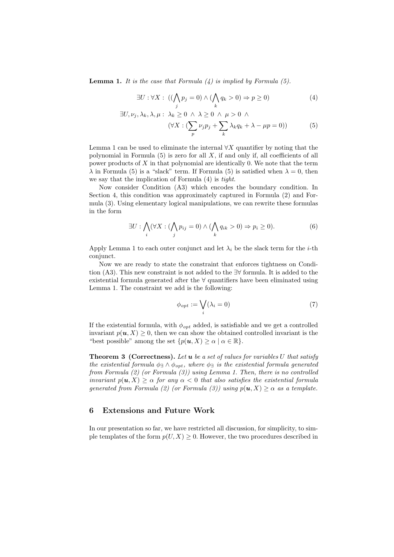**Lemma 1.** It is the case that Formula  $(4)$  is implied by Formula  $(5)$ .

$$
\exists U : \forall X : ((\bigwedge_{j} p_{j} = 0) \land (\bigwedge_{k} q_{k} > 0) \Rightarrow p \ge 0)
$$
\n
$$
(4)
$$

$$
\exists U, \nu_j, \lambda_k, \lambda, \mu: \lambda_k \ge 0 \land \lambda \ge 0 \land \mu > 0 \land
$$
  

$$
(\forall X: (\sum_p \nu_j p_j + \sum_k \lambda_k q_k + \lambda - \mu p = 0))
$$
 (5)

Lemma 1 can be used to eliminate the internal  $\forall X$  quantifier by noting that the polynomial in Formula  $(5)$  is zero for all X, if and only if, all coefficients of all power products of  $X$  in that polynomial are identically 0. We note that the term  $\lambda$  in Formula (5) is a "slack" term. If Formula (5) is satisfied when  $\lambda = 0$ , then we say that the implication of Formula (4) is tight.

Now consider Condition (A3) which encodes the boundary condition. In Section 4, this condition was approximately captured in Formula (2) and Formula (3). Using elementary logical manipulations, we can rewrite these formulas in the form

$$
\exists U : \bigwedge_i (\forall X : (\bigwedge_j p_{ij} = 0) \land (\bigwedge_k q_{ik} > 0) \Rightarrow p_i \ge 0).
$$
 (6)

Apply Lemma 1 to each outer conjunct and let  $\lambda_i$  be the slack term for the *i*-th conjunct.

Now we are ready to state the constraint that enforces tightness on Condition (A3). This new constraint is not added to the ∃∀ formula. It is added to the existential formula generated after the ∀ quantifiers have been eliminated using Lemma 1. The constraint we add is the following:

$$
\phi_{opt} := \bigvee_i (\lambda_i = 0) \tag{7}
$$

If the existential formula, with  $\phi_{opt}$  added, is satisfiable and we get a controlled invariant  $p(\boldsymbol{u}, X) \geq 0$ , then we can show the obtained controlled invariant is the "best possible" among the set  $\{p(\boldsymbol{u}, X) \geq \alpha \mid \alpha \in \mathbb{R}\}.$ 

**Theorem 3 (Correctness).** Let  $u$  be a set of values for variables  $U$  that satisfy the existential formula  $\phi \ni \wedge \phi_{opt}$ , where  $\phi \ni i$  is the existential formula generated from Formula (2) (or Formula (3)) using Lemma 1. Then, there is no controlled invariant  $p(\mathbf{u}, X) > \alpha$  for any  $\alpha < 0$  that also satisfies the existential formula generated from Formula (2) (or Formula (3)) using  $p(\mathbf{u}, X) \geq \alpha$  as a template.

# 6 Extensions and Future Work

In our presentation so far, we have restricted all discussion, for simplicity, to simple templates of the form  $p(U, X) \geq 0$ . However, the two procedures described in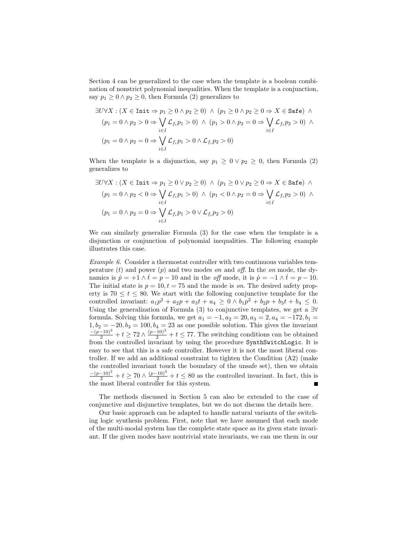Section 4 can be generalized to the case when the template is a boolean combination of nonstrict polynomial inequalities. When the template is a conjunction, say  $p_1 \geq 0 \land p_2 \geq 0$ , then Formula (2) generalizes to

$$
\exists U \forall X : (X \in \text{Init} \Rightarrow p_1 \ge 0 \land p_2 \ge 0) \land (p_1 \ge 0 \land p_2 \ge 0 \Rightarrow X \in \text{Safe}) \land (p_1 = 0 \land p_2 > 0 \Rightarrow \bigvee_{i \in I} \mathcal{L}_{f_i} p_1 > 0) \land (p_1 > 0 \land p_2 = 0 \Rightarrow \bigvee_{i \in I} \mathcal{L}_{f_i} p_2 > 0) \land (p_1 = 0 \land p_2 = 0 \Rightarrow \bigvee_{i \in I} \mathcal{L}_{f_i} p_1 > 0 \land \mathcal{L}_{f_i} p_2 > 0)
$$

When the template is a disjunction, say  $p_1 \geq 0 \vee p_2 \geq 0$ , then Formula (2) generalizes to

$$
\exists U \forall X : (X \in \text{Init} \Rightarrow p_1 \ge 0 \lor p_2 \ge 0) \land (p_1 \ge 0 \lor p_2 \ge 0 \Rightarrow X \in \text{Safe}) \land (p_1 = 0 \land p_2 < 0 \Rightarrow \bigvee_{i \in I} \mathcal{L}_{f_i} p_1 > 0) \land (p_1 < 0 \land p_2 = 0 \Rightarrow \bigvee_{i \in I} \mathcal{L}_{f_i} p_2 > 0) \land (p_1 = 0 \land p_2 = 0 \Rightarrow \bigvee_{i \in I} \mathcal{L}_{f_i} p_1 > 0 \lor \mathcal{L}_{f_i} p_2 > 0)
$$

We can similarly generalize Formula (3) for the case when the template is a disjunction or conjunction of polynomial inequalities. The following example illustrates this case.

Example  $6$ . Consider a thermostat controller with two continuous variables temperature  $(t)$  and power  $(p)$  and two modes on and off. In the on mode, the dynamics is  $\dot{p} = +1 \wedge t = p - 10$  and in the *off* mode, it is  $\dot{p} = -1 \wedge t = p - 10$ . The initial state is  $p = 10, t = 75$  and the mode is on. The desired safety property is  $70 \le t \le 80$ . We start with the following conjunctive template for the controlled invariant:  $a_1p^2 + a_2p + a_3t + a_4 \geq 0 \wedge b_1p^2 + b_2p + b_3t + b_4 \leq 0$ . Using the generalization of Formula (3) to conjunctive templates, we get a ∃∀ formula. Solving this formula, we get  $a_1 = -1, a_2 = 20, a_3 = 2, a_4 = -172, b_1 =$  $1, b_2 = -20, b_3 = 100, b_4 = 23$  as one possible solution. This gives the invariant  $\frac{-(p-10)^2}{2} + t \ge 72 \wedge \frac{(p-10)^2}{2} + t \le 77$ . The switching conditions can be obtained from the controlled invariant by using the procedure SynthSwitchLogic. It is easy to see that this is a safe controller. However it is not the most liberal controller. If we add an additional constraint to tighten the Condition (A2) (make the controlled invariant touch the boundary of the unsafe set), then we obtain  $\frac{-(p-10)^2}{2} + t \ge 70 \wedge \frac{(p-10)^2}{2} + t \le 80$  as the controlled invariant. In fact, this is the most liberal controller for this system.

The methods discussed in Section 5 can also be extended to the case of conjunctive and disjunctive templates, but we do not discuss the details here.

Our basic approach can be adapted to handle natural variants of the switching logic synthesis problem. First, note that we have assumed that each mode of the multi-modal system has the complete state space as its given state invariant. If the given modes have nontrivial state invariants, we can use them in our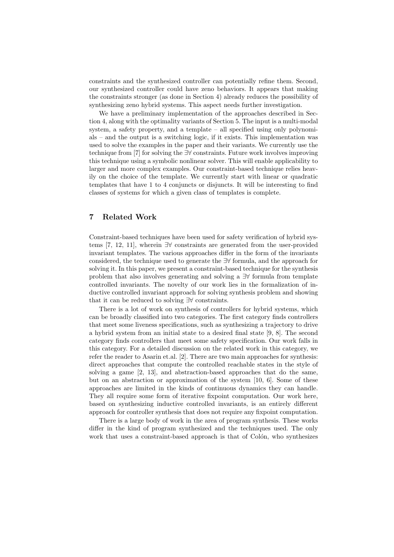constraints and the synthesized controller can potentially refine them. Second, our synthesized controller could have zeno behaviors. It appears that making the constraints stronger (as done in Section 4) already reduces the possibility of synthesizing zeno hybrid systems. This aspect needs further investigation.

We have a preliminary implementation of the approaches described in Section 4, along with the optimality variants of Section 5. The input is a multi-modal system, a safety property, and a template – all specified using only polynomials – and the output is a switching logic, if it exists. This implementation was used to solve the examples in the paper and their variants. We currently use the technique from [7] for solving the ∃∀ constraints. Future work involves improving this technique using a symbolic nonlinear solver. This will enable applicability to larger and more complex examples. Our constraint-based technique relies heavily on the choice of the template. We currently start with linear or quadratic templates that have 1 to 4 conjuncts or disjuncts. It will be interesting to find classes of systems for which a given class of templates is complete.

# 7 Related Work

Constraint-based techniques have been used for safety verification of hybrid systems [7, 12, 11], wherein ∃∀ constraints are generated from the user-provided invariant templates. The various approaches differ in the form of the invariants considered, the technique used to generate the ∃∀ formula, and the approach for solving it. In this paper, we present a constraint-based technique for the synthesis problem that also involves generating and solving a ∃∀ formula from template controlled invariants. The novelty of our work lies in the formalization of inductive controlled invariant approach for solving synthesis problem and showing that it can be reduced to solving ∃∀ constraints.

There is a lot of work on synthesis of controllers for hybrid systems, which can be broadly classified into two categories. The first category finds controllers that meet some liveness specifications, such as synthesizing a trajectory to drive a hybrid system from an initial state to a desired final state [9, 8]. The second category finds controllers that meet some safety specification. Our work falls in this category. For a detailed discussion on the related work in this category, we refer the reader to Asarin et.al. [2]. There are two main approaches for synthesis: direct approaches that compute the controlled reachable states in the style of solving a game [2, 13], and abstraction-based approaches that do the same, but on an abstraction or approximation of the system [10, 6]. Some of these approaches are limited in the kinds of continuous dynamics they can handle. They all require some form of iterative fixpoint computation. Our work here, based on synthesizing inductive controlled invariants, is an entirely different approach for controller synthesis that does not require any fixpoint computation.

There is a large body of work in the area of program synthesis. These works differ in the kind of program synthesized and the techniques used. The only work that uses a constraint-based approach is that of Colón, who synthesizes